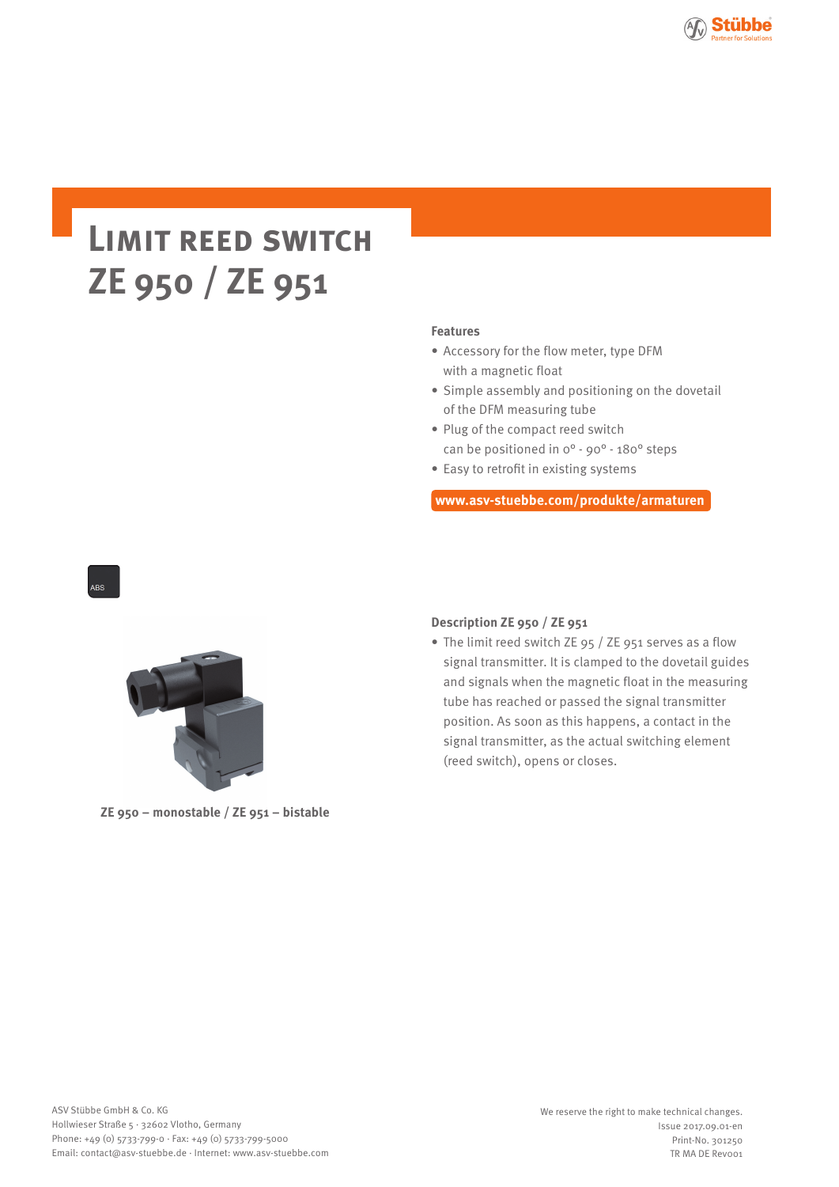

# **Limit reed switch ZE 950 / ZE 951**

#### **Features**

- Accessory for the flow meter, type DFM with a magnetic float
- Simple assembly and positioning on the dovetail of the DFM measuring tube
- Plug of the compact reed switch can be positioned in 0° - 90° - 180° steps
- Easy to retrofit in existing systems

**www.asv-stuebbe.com/produkte/armaturen**



**ZE 950 – monostable / ZE 951 – bistable**

## **Description ZE 950 / ZE 951**

• The limit reed switch ZE 95 / ZE 951 serves as a flow signal transmitter. It is clamped to the dovetail guides and signals when the magnetic float in the measuring tube has reached or passed the signal transmitter position. As soon as this happens, a contact in the signal transmitter, as the actual switching element (reed switch), opens or closes.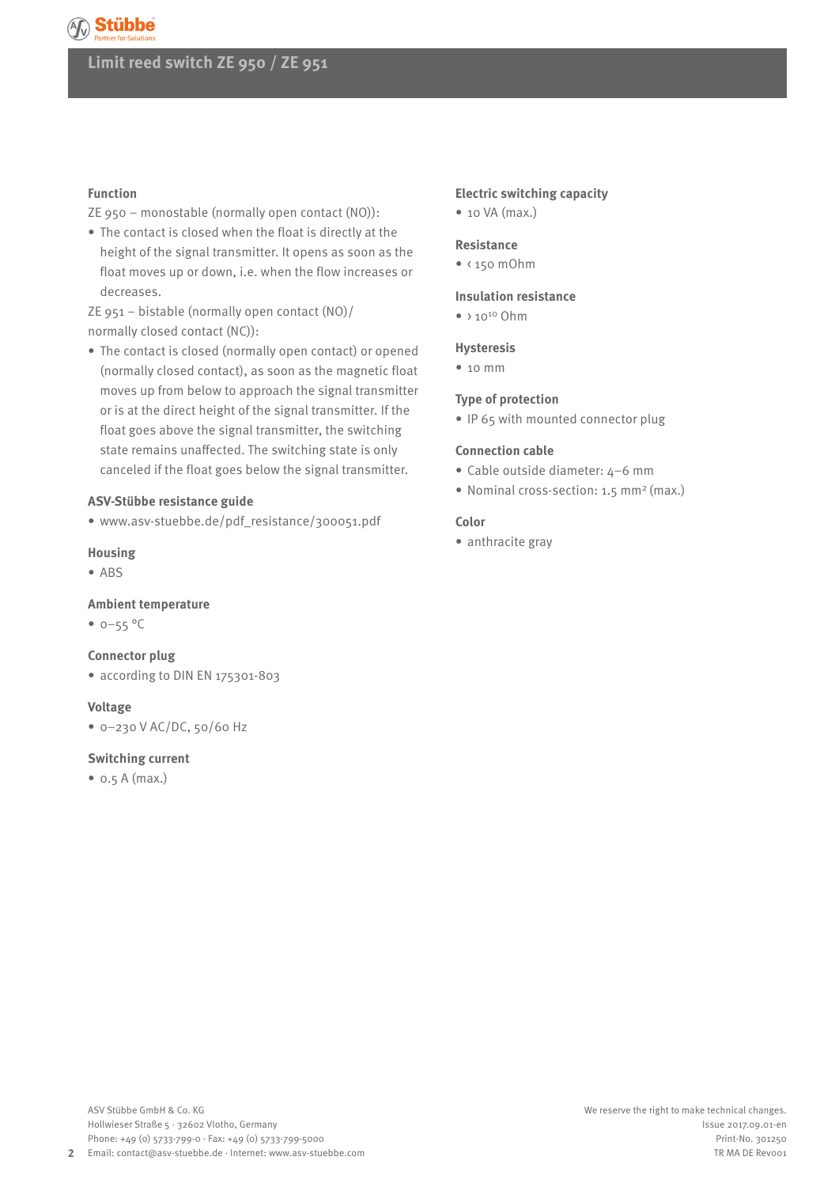# **Limit reed switch ZE 950 / ZE 951**

#### **Function**

ZE 950 – monostable (normally open contact (NO)):

• The contact is closed when the float is directly at the height of the signal transmitter. It opens as soon as the float moves up or down, i.e. when the flow increases or decreases.

ZE 951 – bistable (normally open contact (NO)/ normally closed contact (NC)):

• The contact is closed (normally open contact) or opened (normally closed contact), as soon as the magnetic float moves up from below to approach the signal transmitter or is at the direct height of the signal transmitter. If the float goes above the signal transmitter, the switching state remains unaffected. The switching state is only canceled if the float goes below the signal transmitter.

#### **ASV-Stübbe resistance guide**

• www.asv-stuebbe.de/pdf\_resistance/300051.pdf

#### **Housing**

• ABS

#### **Ambient temperature**

 $• 0 - 55 °C$ 

#### **Connector plug**

• according to DIN EN 175301-803

#### **Voltage**

• 0–230 V AC/DC, 50/60 Hz

#### **Switching current**

• 0.5 A (max.)

### **Electric switching capacity**

• 10 VA (max.)

#### **Resistance**

 $\bullet$  < 150 mOhm

#### **Insulation resistance**

 $\bullet$  > 10<sup>10</sup> Ohm

#### **Hysteresis**

• 10 mm

#### **Type of protection**

• IP 65 with mounted connector plug

#### **Connection cable**

- Cable outside diameter: 4–6 mm
- Nominal cross-section: 1.5 mm<sup>2</sup> (max.)

#### **Color**

• anthracite gray